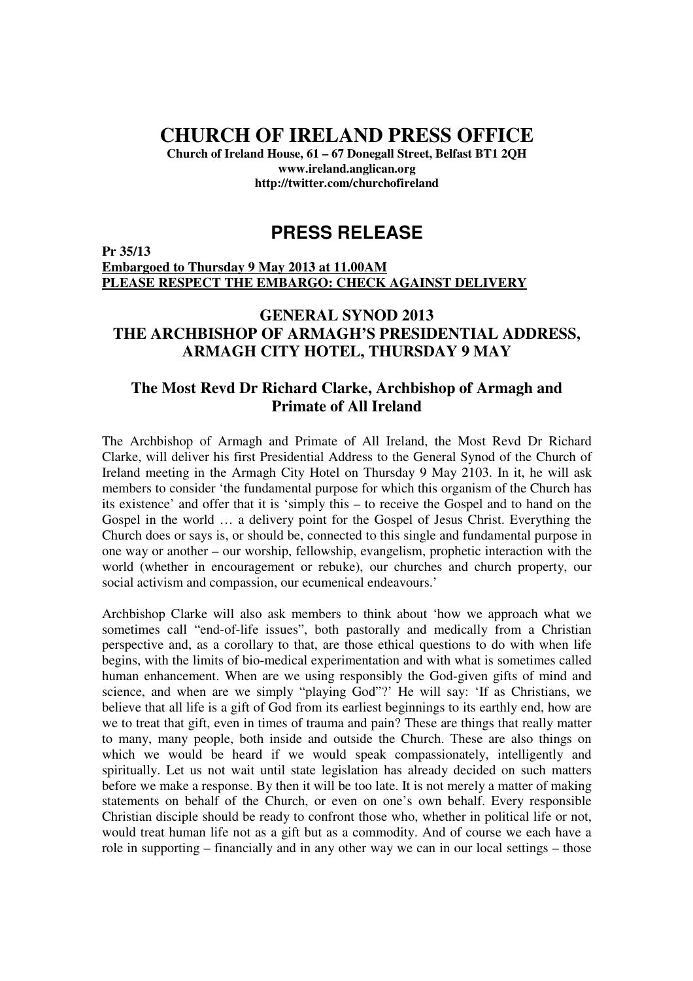# **CHURCH OF IRELAND PRESS OFFICE**

**Church of Ireland House, 61 – 67 Donegall Street, Belfast BT1 2QH www.ireland.anglican.org http://twitter.com/churchofireland**

## **PRESS RELEASE**

**Pr 35/13 Embargoed to Thursday 9 May 2013 at 11.00AM PLEASE RESPECT THE EMBARGO: CHECK AGAINST DELIVERY**

### **GENERAL SYNOD 2013 THE ARCHBISHOP OF ARMAGH'S PRESIDENTIAL ADDRESS, ARMAGH CITY HOTEL, THURSDAY 9 MAY**

#### **The Most Revd Dr Richard Clarke, Archbishop of Armagh and Primate of All Ireland**

The Archbishop of Armagh and Primate of All Ireland, the Most Revd Dr Richard Clarke, will deliver his first Presidential Address to the General Synod of the Church of Ireland meeting in the Armagh City Hotel on Thursday 9 May 2103. In it, he will ask members to consider 'the fundamental purpose for which this organism of the Church has its existence' and offer that it is 'simply this – to receive the Gospel and to hand on the Gospel in the world … a delivery point for the Gospel of Jesus Christ. Everything the Church does or says is, or should be, connected to this single and fundamental purpose in one way or another – our worship, fellowship, evangelism, prophetic interaction with the world (whether in encouragement or rebuke), our churches and church property, our social activism and compassion, our ecumenical endeavours.'

Archbishop Clarke will also ask members to think about 'how we approach what we sometimes call "end-of-life issues", both pastorally and medically from a Christian perspective and, as a corollary to that, are those ethical questions to do with when life begins, with the limits of bio-medical experimentation and with what is sometimes called human enhancement. When are we using responsibly the God-given gifts of mind and science, and when are we simply "playing God"?' He will say: 'If as Christians, we believe that all life is a gift of God from its earliest beginnings to its earthly end, how are we to treat that gift, even in times of trauma and pain? These are things that really matter to many, many people, both inside and outside the Church. These are also things on which we would be heard if we would speak compassionately, intelligently and spiritually. Let us not wait until state legislation has already decided on such matters before we make a response. By then it will be too late. It is not merely a matter of making statements on behalf of the Church, or even on one's own behalf. Every responsible Christian disciple should be ready to confront those who, whether in political life or not, would treat human life not as a gift but as a commodity. And of course we each have a role in supporting – financially and in any other way we can in our local settings – those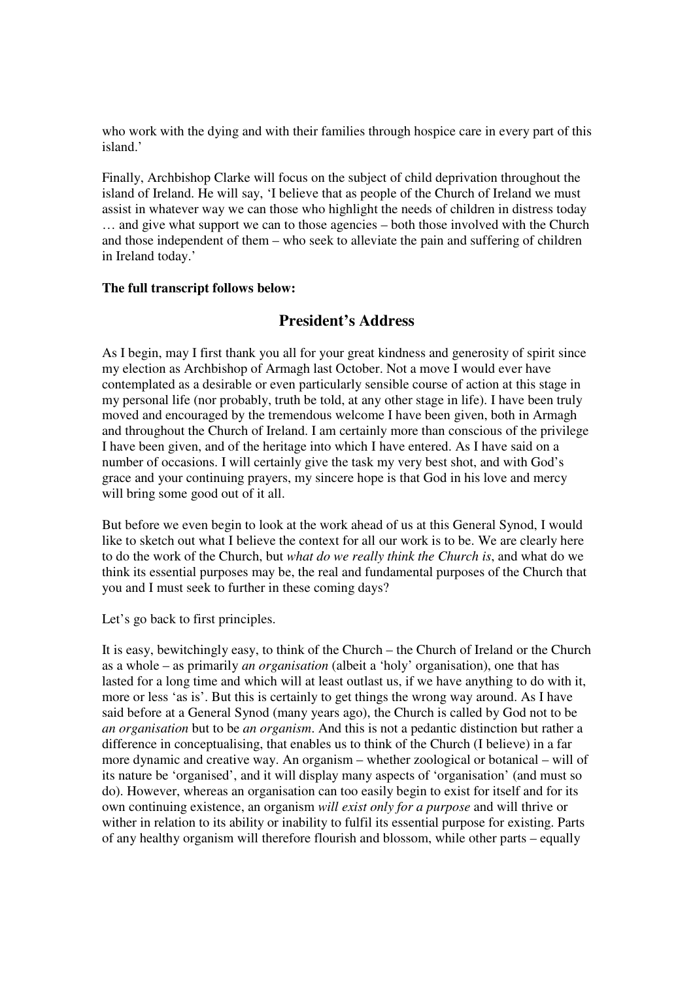who work with the dying and with their families through hospice care in every part of this island.'

Finally, Archbishop Clarke will focus on the subject of child deprivation throughout the island of Ireland. He will say, 'I believe that as people of the Church of Ireland we must assist in whatever way we can those who highlight the needs of children in distress today … and give what support we can to those agencies – both those involved with the Church and those independent of them – who seek to alleviate the pain and suffering of children in Ireland today.'

#### **The full transcript follows below:**

#### **President's Address**

As I begin, may I first thank you all for your great kindness and generosity of spirit since my election as Archbishop of Armagh last October. Not a move I would ever have contemplated as a desirable or even particularly sensible course of action at this stage in my personal life (nor probably, truth be told, at any other stage in life). I have been truly moved and encouraged by the tremendous welcome I have been given, both in Armagh and throughout the Church of Ireland. I am certainly more than conscious of the privilege I have been given, and of the heritage into which I have entered. As I have said on a number of occasions. I will certainly give the task my very best shot, and with God's grace and your continuing prayers, my sincere hope is that God in his love and mercy will bring some good out of it all.

But before we even begin to look at the work ahead of us at this General Synod, I would like to sketch out what I believe the context for all our work is to be. We are clearly here to do the work of the Church, but *what do we really think the Church is*, and what do we think its essential purposes may be, the real and fundamental purposes of the Church that you and I must seek to further in these coming days?

Let's go back to first principles.

It is easy, bewitchingly easy, to think of the Church – the Church of Ireland or the Church as a whole – as primarily *an organisation* (albeit a 'holy' organisation), one that has lasted for a long time and which will at least outlast us, if we have anything to do with it, more or less 'as is'. But this is certainly to get things the wrong way around. As I have said before at a General Synod (many years ago), the Church is called by God not to be *an organisation* but to be *an organism*. And this is not a pedantic distinction but rather a difference in conceptualising, that enables us to think of the Church (I believe) in a far more dynamic and creative way. An organism – whether zoological or botanical – will of its nature be 'organised', and it will display many aspects of 'organisation' (and must so do). However, whereas an organisation can too easily begin to exist for itself and for its own continuing existence, an organism *will exist only for a purpose* and will thrive or wither in relation to its ability or inability to fulfil its essential purpose for existing. Parts of any healthy organism will therefore flourish and blossom, while other parts – equally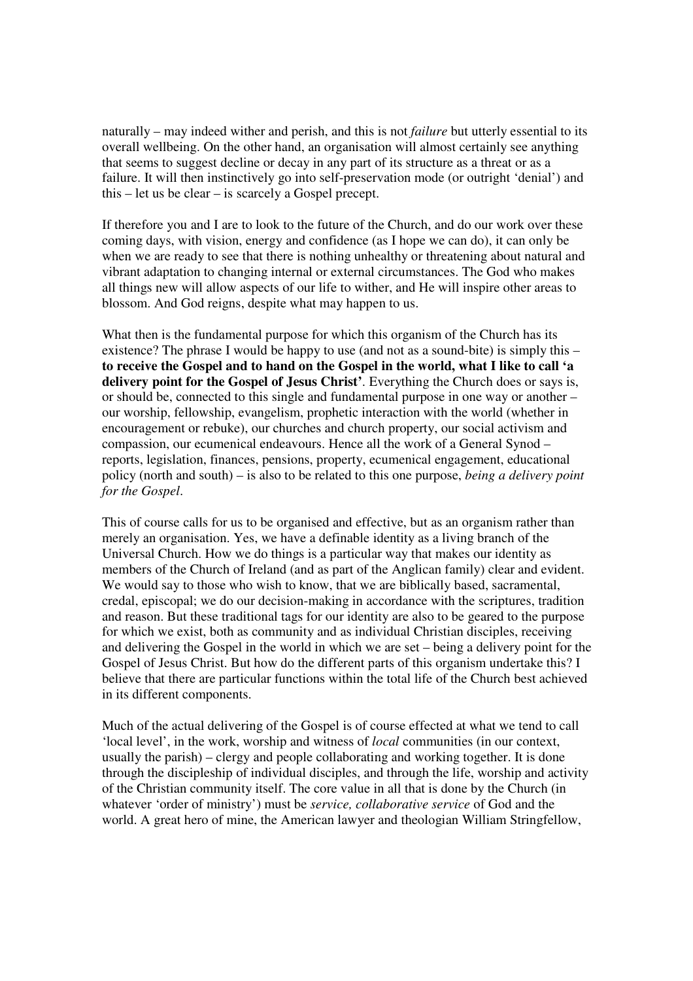naturally – may indeed wither and perish, and this is not *failure* but utterly essential to its overall wellbeing. On the other hand, an organisation will almost certainly see anything that seems to suggest decline or decay in any part of its structure as a threat or as a failure. It will then instinctively go into self-preservation mode (or outright 'denial') and this – let us be clear – is scarcely a Gospel precept.

If therefore you and I are to look to the future of the Church, and do our work over these coming days, with vision, energy and confidence (as I hope we can do), it can only be when we are ready to see that there is nothing unhealthy or threatening about natural and vibrant adaptation to changing internal or external circumstances. The God who makes all things new will allow aspects of our life to wither, and He will inspire other areas to blossom. And God reigns, despite what may happen to us.

What then is the fundamental purpose for which this organism of the Church has its existence? The phrase I would be happy to use (and not as a sound-bite) is simply this – **to receive the Gospel and to hand on the Gospel in the world, what I like to call 'a delivery point for the Gospel of Jesus Christ'**. Everything the Church does or says is, or should be, connected to this single and fundamental purpose in one way or another – our worship, fellowship, evangelism, prophetic interaction with the world (whether in encouragement or rebuke), our churches and church property, our social activism and compassion, our ecumenical endeavours. Hence all the work of a General Synod – reports, legislation, finances, pensions, property, ecumenical engagement, educational policy (north and south) – is also to be related to this one purpose, *being a delivery point for the Gospel*.

This of course calls for us to be organised and effective, but as an organism rather than merely an organisation. Yes, we have a definable identity as a living branch of the Universal Church. How we do things is a particular way that makes our identity as members of the Church of Ireland (and as part of the Anglican family) clear and evident. We would say to those who wish to know, that we are biblically based, sacramental, credal, episcopal; we do our decision-making in accordance with the scriptures, tradition and reason. But these traditional tags for our identity are also to be geared to the purpose for which we exist, both as community and as individual Christian disciples, receiving and delivering the Gospel in the world in which we are set – being a delivery point for the Gospel of Jesus Christ. But how do the different parts of this organism undertake this? I believe that there are particular functions within the total life of the Church best achieved in its different components.

Much of the actual delivering of the Gospel is of course effected at what we tend to call 'local level', in the work, worship and witness of *local* communities (in our context, usually the parish) – clergy and people collaborating and working together. It is done through the discipleship of individual disciples, and through the life, worship and activity of the Christian community itself. The core value in all that is done by the Church (in whatever 'order of ministry') must be *service, collaborative service* of God and the world. A great hero of mine, the American lawyer and theologian William Stringfellow,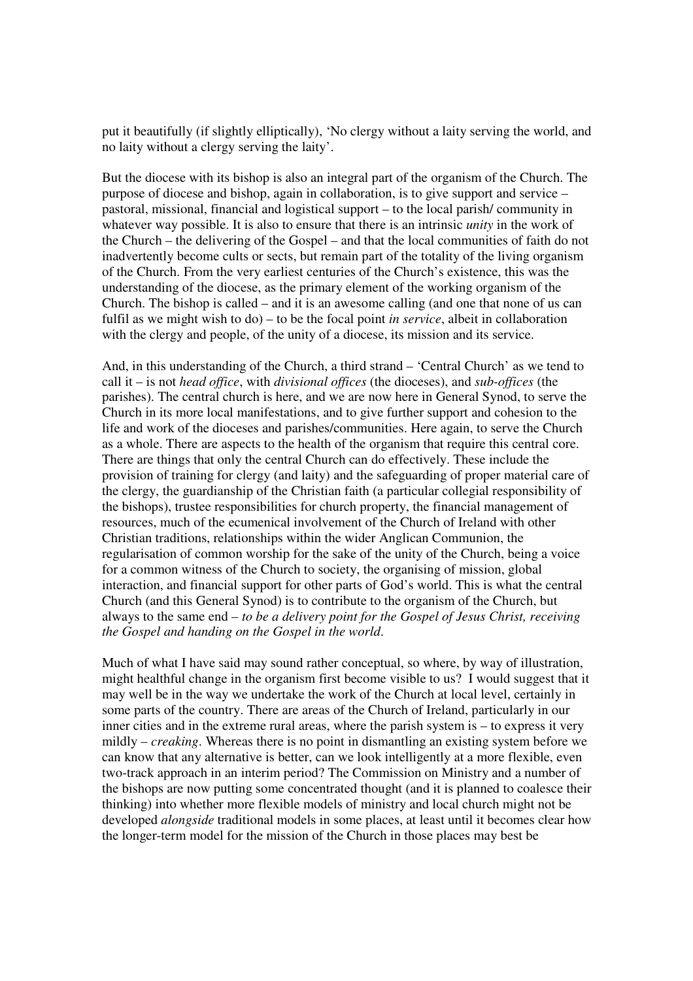put it beautifully (if slightly elliptically), 'No clergy without a laity serving the world, and no laity without a clergy serving the laity'.

But the diocese with its bishop is also an integral part of the organism of the Church. The purpose of diocese and bishop, again in collaboration, is to give support and service – pastoral, missional, financial and logistical support – to the local parish/ community in whatever way possible. It is also to ensure that there is an intrinsic *unity* in the work of the Church – the delivering of the Gospel – and that the local communities of faith do not inadvertently become cults or sects, but remain part of the totality of the living organism of the Church. From the very earliest centuries of the Church's existence, this was the understanding of the diocese, as the primary element of the working organism of the Church. The bishop is called – and it is an awesome calling (and one that none of us can fulfil as we might wish to do) – to be the focal point *in service*, albeit in collaboration with the clergy and people, of the unity of a diocese, its mission and its service.

And, in this understanding of the Church, a third strand – 'Central Church' as we tend to call it – is not *head office*, with *divisional offices* (the dioceses), and *sub-offices* (the parishes). The central church is here, and we are now here in General Synod, to serve the Church in its more local manifestations, and to give further support and cohesion to the life and work of the dioceses and parishes/communities. Here again, to serve the Church as a whole. There are aspects to the health of the organism that require this central core. There are things that only the central Church can do effectively. These include the provision of training for clergy (and laity) and the safeguarding of proper material care of the clergy, the guardianship of the Christian faith (a particular collegial responsibility of the bishops), trustee responsibilities for church property, the financial management of resources, much of the ecumenical involvement of the Church of Ireland with other Christian traditions, relationships within the wider Anglican Communion, the regularisation of common worship for the sake of the unity of the Church, being a voice for a common witness of the Church to society, the organising of mission, global interaction, and financial support for other parts of God's world. This is what the central Church (and this General Synod) is to contribute to the organism of the Church, but always to the same end – *to be a delivery point for the Gospel of Jesus Christ, receiving the Gospel and handing on the Gospel in the world*.

Much of what I have said may sound rather conceptual, so where, by way of illustration, might healthful change in the organism first become visible to us? I would suggest that it may well be in the way we undertake the work of the Church at local level, certainly in some parts of the country. There are areas of the Church of Ireland, particularly in our inner cities and in the extreme rural areas, where the parish system is – to express it very mildly – *creaking*. Whereas there is no point in dismantling an existing system before we can know that any alternative is better, can we look intelligently at a more flexible, even two-track approach in an interim period? The Commission on Ministry and a number of the bishops are now putting some concentrated thought (and it is planned to coalesce their thinking) into whether more flexible models of ministry and local church might not be developed *alongside* traditional models in some places, at least until it becomes clear how the longer-term model for the mission of the Church in those places may best be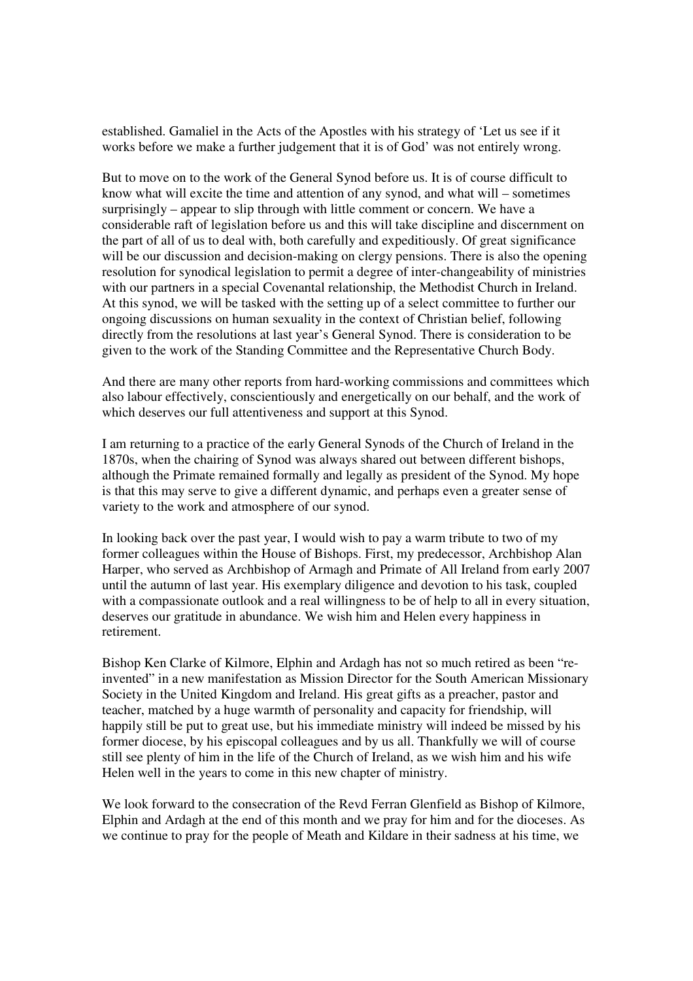established. Gamaliel in the Acts of the Apostles with his strategy of 'Let us see if it works before we make a further judgement that it is of God' was not entirely wrong.

But to move on to the work of the General Synod before us. It is of course difficult to know what will excite the time and attention of any synod, and what will – sometimes surprisingly – appear to slip through with little comment or concern. We have a considerable raft of legislation before us and this will take discipline and discernment on the part of all of us to deal with, both carefully and expeditiously. Of great significance will be our discussion and decision-making on clergy pensions. There is also the opening resolution for synodical legislation to permit a degree of inter-changeability of ministries with our partners in a special Covenantal relationship, the Methodist Church in Ireland. At this synod, we will be tasked with the setting up of a select committee to further our ongoing discussions on human sexuality in the context of Christian belief, following directly from the resolutions at last year's General Synod. There is consideration to be given to the work of the Standing Committee and the Representative Church Body.

And there are many other reports from hard-working commissions and committees which also labour effectively, conscientiously and energetically on our behalf, and the work of which deserves our full attentiveness and support at this Synod.

I am returning to a practice of the early General Synods of the Church of Ireland in the 1870s, when the chairing of Synod was always shared out between different bishops, although the Primate remained formally and legally as president of the Synod. My hope is that this may serve to give a different dynamic, and perhaps even a greater sense of variety to the work and atmosphere of our synod.

In looking back over the past year, I would wish to pay a warm tribute to two of my former colleagues within the House of Bishops. First, my predecessor, Archbishop Alan Harper, who served as Archbishop of Armagh and Primate of All Ireland from early 2007 until the autumn of last year. His exemplary diligence and devotion to his task, coupled with a compassionate outlook and a real willingness to be of help to all in every situation, deserves our gratitude in abundance. We wish him and Helen every happiness in retirement.

Bishop Ken Clarke of Kilmore, Elphin and Ardagh has not so much retired as been "reinvented" in a new manifestation as Mission Director for the South American Missionary Society in the United Kingdom and Ireland. His great gifts as a preacher, pastor and teacher, matched by a huge warmth of personality and capacity for friendship, will happily still be put to great use, but his immediate ministry will indeed be missed by his former diocese, by his episcopal colleagues and by us all. Thankfully we will of course still see plenty of him in the life of the Church of Ireland, as we wish him and his wife Helen well in the years to come in this new chapter of ministry.

We look forward to the consecration of the Revd Ferran Glenfield as Bishop of Kilmore, Elphin and Ardagh at the end of this month and we pray for him and for the dioceses. As we continue to pray for the people of Meath and Kildare in their sadness at his time, we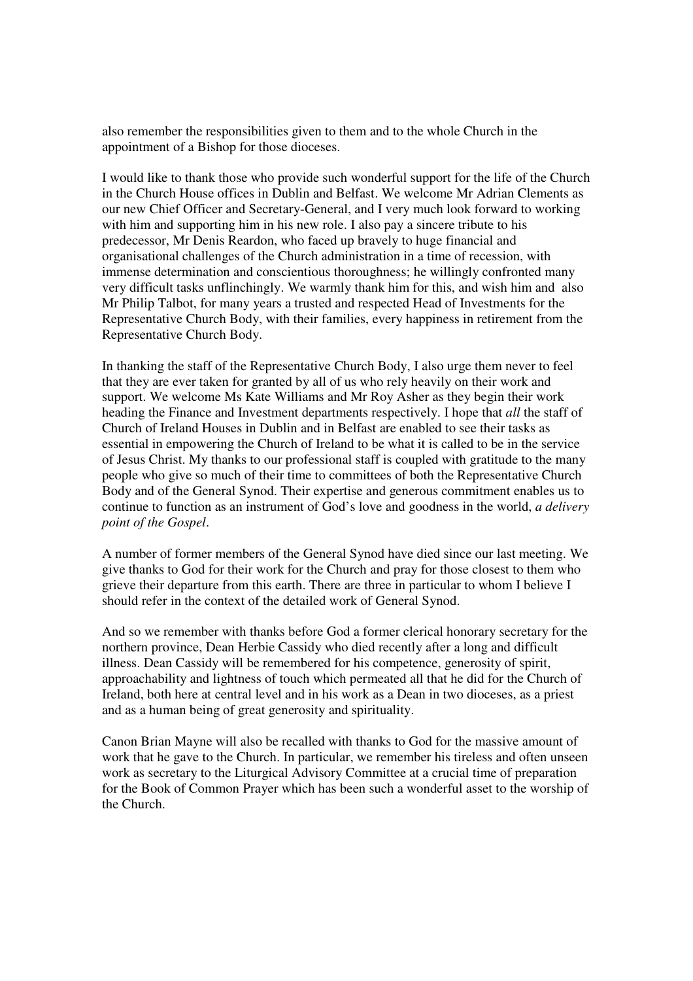also remember the responsibilities given to them and to the whole Church in the appointment of a Bishop for those dioceses.

I would like to thank those who provide such wonderful support for the life of the Church in the Church House offices in Dublin and Belfast. We welcome Mr Adrian Clements as our new Chief Officer and Secretary-General, and I very much look forward to working with him and supporting him in his new role. I also pay a sincere tribute to his predecessor, Mr Denis Reardon, who faced up bravely to huge financial and organisational challenges of the Church administration in a time of recession, with immense determination and conscientious thoroughness; he willingly confronted many very difficult tasks unflinchingly. We warmly thank him for this, and wish him and also Mr Philip Talbot, for many years a trusted and respected Head of Investments for the Representative Church Body, with their families, every happiness in retirement from the Representative Church Body.

In thanking the staff of the Representative Church Body, I also urge them never to feel that they are ever taken for granted by all of us who rely heavily on their work and support. We welcome Ms Kate Williams and Mr Roy Asher as they begin their work heading the Finance and Investment departments respectively. I hope that *all* the staff of Church of Ireland Houses in Dublin and in Belfast are enabled to see their tasks as essential in empowering the Church of Ireland to be what it is called to be in the service of Jesus Christ. My thanks to our professional staff is coupled with gratitude to the many people who give so much of their time to committees of both the Representative Church Body and of the General Synod. Their expertise and generous commitment enables us to continue to function as an instrument of God's love and goodness in the world, *a delivery point of the Gospel*.

A number of former members of the General Synod have died since our last meeting. We give thanks to God for their work for the Church and pray for those closest to them who grieve their departure from this earth. There are three in particular to whom I believe I should refer in the context of the detailed work of General Synod.

And so we remember with thanks before God a former clerical honorary secretary for the northern province, Dean Herbie Cassidy who died recently after a long and difficult illness. Dean Cassidy will be remembered for his competence, generosity of spirit, approachability and lightness of touch which permeated all that he did for the Church of Ireland, both here at central level and in his work as a Dean in two dioceses, as a priest and as a human being of great generosity and spirituality.

Canon Brian Mayne will also be recalled with thanks to God for the massive amount of work that he gave to the Church. In particular, we remember his tireless and often unseen work as secretary to the Liturgical Advisory Committee at a crucial time of preparation for the Book of Common Prayer which has been such a wonderful asset to the worship of the Church.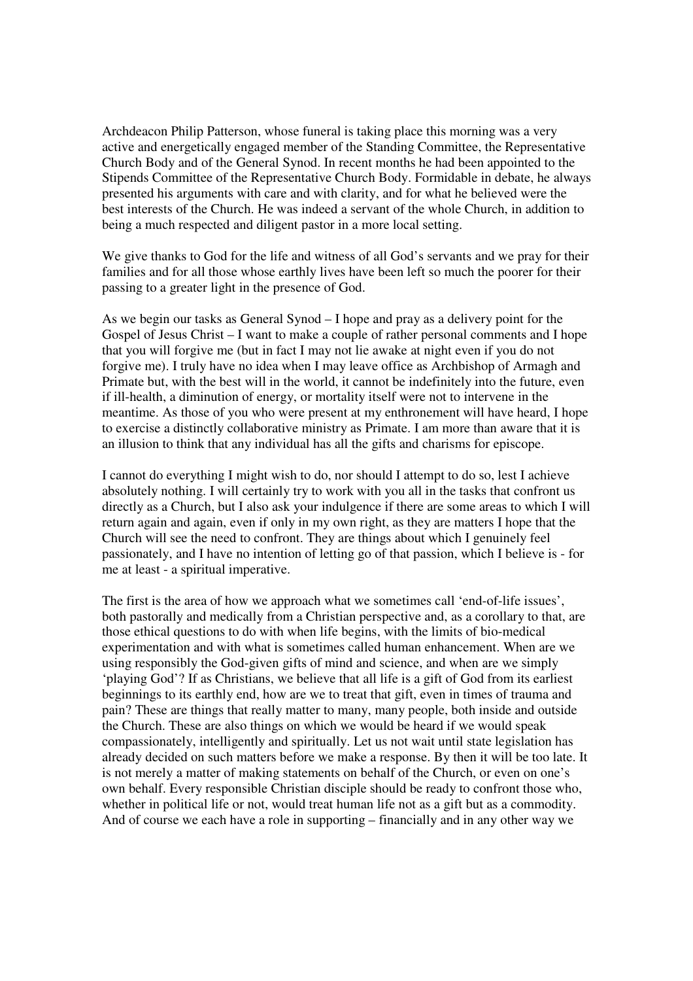Archdeacon Philip Patterson, whose funeral is taking place this morning was a very active and energetically engaged member of the Standing Committee, the Representative Church Body and of the General Synod. In recent months he had been appointed to the Stipends Committee of the Representative Church Body. Formidable in debate, he always presented his arguments with care and with clarity, and for what he believed were the best interests of the Church. He was indeed a servant of the whole Church, in addition to being a much respected and diligent pastor in a more local setting.

We give thanks to God for the life and witness of all God's servants and we pray for their families and for all those whose earthly lives have been left so much the poorer for their passing to a greater light in the presence of God.

As we begin our tasks as General Synod – I hope and pray as a delivery point for the Gospel of Jesus Christ – I want to make a couple of rather personal comments and I hope that you will forgive me (but in fact I may not lie awake at night even if you do not forgive me). I truly have no idea when I may leave office as Archbishop of Armagh and Primate but, with the best will in the world, it cannot be indefinitely into the future, even if ill-health, a diminution of energy, or mortality itself were not to intervene in the meantime. As those of you who were present at my enthronement will have heard, I hope to exercise a distinctly collaborative ministry as Primate. I am more than aware that it is an illusion to think that any individual has all the gifts and charisms for episcope.

I cannot do everything I might wish to do, nor should I attempt to do so, lest I achieve absolutely nothing. I will certainly try to work with you all in the tasks that confront us directly as a Church, but I also ask your indulgence if there are some areas to which I will return again and again, even if only in my own right, as they are matters I hope that the Church will see the need to confront. They are things about which I genuinely feel passionately, and I have no intention of letting go of that passion, which I believe is - for me at least - a spiritual imperative.

The first is the area of how we approach what we sometimes call 'end-of-life issues', both pastorally and medically from a Christian perspective and, as a corollary to that, are those ethical questions to do with when life begins, with the limits of bio-medical experimentation and with what is sometimes called human enhancement. When are we using responsibly the God-given gifts of mind and science, and when are we simply 'playing God'? If as Christians, we believe that all life is a gift of God from its earliest beginnings to its earthly end, how are we to treat that gift, even in times of trauma and pain? These are things that really matter to many, many people, both inside and outside the Church. These are also things on which we would be heard if we would speak compassionately, intelligently and spiritually. Let us not wait until state legislation has already decided on such matters before we make a response. By then it will be too late. It is not merely a matter of making statements on behalf of the Church, or even on one's own behalf. Every responsible Christian disciple should be ready to confront those who, whether in political life or not, would treat human life not as a gift but as a commodity. And of course we each have a role in supporting – financially and in any other way we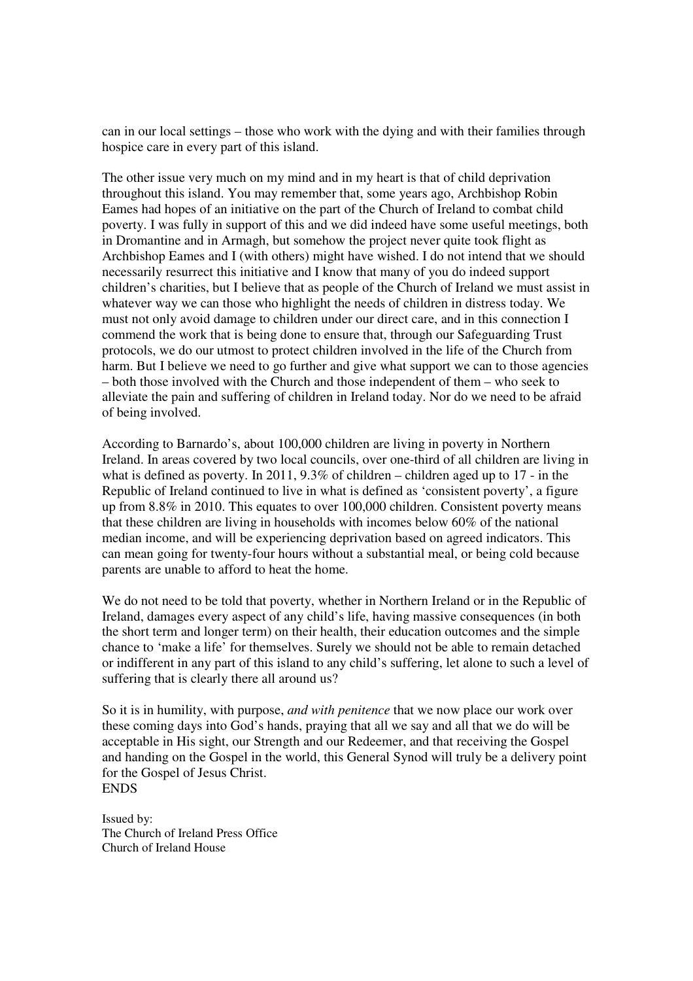can in our local settings – those who work with the dying and with their families through hospice care in every part of this island.

The other issue very much on my mind and in my heart is that of child deprivation throughout this island. You may remember that, some years ago, Archbishop Robin Eames had hopes of an initiative on the part of the Church of Ireland to combat child poverty. I was fully in support of this and we did indeed have some useful meetings, both in Dromantine and in Armagh, but somehow the project never quite took flight as Archbishop Eames and I (with others) might have wished. I do not intend that we should necessarily resurrect this initiative and I know that many of you do indeed support children's charities, but I believe that as people of the Church of Ireland we must assist in whatever way we can those who highlight the needs of children in distress today. We must not only avoid damage to children under our direct care, and in this connection I commend the work that is being done to ensure that, through our Safeguarding Trust protocols, we do our utmost to protect children involved in the life of the Church from harm. But I believe we need to go further and give what support we can to those agencies – both those involved with the Church and those independent of them – who seek to alleviate the pain and suffering of children in Ireland today. Nor do we need to be afraid of being involved.

According to Barnardo's, about 100,000 children are living in poverty in Northern Ireland. In areas covered by two local councils, over one-third of all children are living in what is defined as poverty. In 2011, 9.3% of children – children aged up to 17 - in the Republic of Ireland continued to live in what is defined as 'consistent poverty', a figure up from 8.8% in 2010. This equates to over 100,000 children. Consistent poverty means that these children are living in households with incomes below 60% of the national median income, and will be experiencing deprivation based on agreed indicators. This can mean going for twenty-four hours without a substantial meal, or being cold because parents are unable to afford to heat the home.

We do not need to be told that poverty, whether in Northern Ireland or in the Republic of Ireland, damages every aspect of any child's life, having massive consequences (in both the short term and longer term) on their health, their education outcomes and the simple chance to 'make a life' for themselves. Surely we should not be able to remain detached or indifferent in any part of this island to any child's suffering, let alone to such a level of suffering that is clearly there all around us?

So it is in humility, with purpose, *and with penitence* that we now place our work over these coming days into God's hands, praying that all we say and all that we do will be acceptable in His sight, our Strength and our Redeemer, and that receiving the Gospel and handing on the Gospel in the world, this General Synod will truly be a delivery point for the Gospel of Jesus Christ. ENDS

Issued by: The Church of Ireland Press Office Church of Ireland House